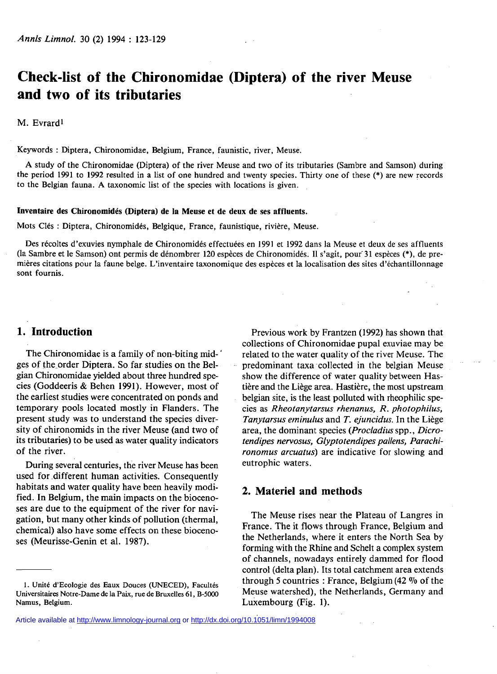# **Check-list of the Chironomidae (Díptera) of the river Meuse and two of its tributaries**

M. Evrard<sup>1</sup>

Keywords : Díptera, Chironomidae, Belgium, France, faunistic, river, Meuse.

A study of the Chironomidae (Díptera) of the river Meuse and two of its tributaries (Sambre and Samson) during the period 1991 to 1992 resulted in a list of one hundred and twenty species. Thirty one of these (\*) are new records to the Belgian fauna. A taxonomic list of the species with locations is given.

#### **Inventaire des Chironomidés (Diptera) de la Meuse et de deux de ses affluents.**

Mots Clés : Diptera, Chironomidés, Belgique, France, faunistique, rivière, Meuse.

Des récoltes d'exuvies nymphale de Chironomidés effectuées en 1991 et 1992 dans la Meuse et deux de ses affluents (la Sambre et le Samson) ont permis de dénombrer 120 espèces de Chironomidés. Il s'agit, pour'31 espèces (\*), de premières citations pour la faune belge. L'inventaire taxonomique des espèces et la localisation des sites d'échantillonnage sont fournis.

### **1. Introduction**

The Chironomidae is a family of non-biting mid- ' ges of the order Diptera. So far studies on the Belgian Chironomidae yielded about three hundred species (Goddeeris & Behen 1991). However, most of the earliest studies were concentrated on ponds and temporary pools located mostly in Flanders. The present study was to understand the species diversity of chironomids in the river Meuse (and two of its tributaries) to be used as water quality indicators of the river.

During several centuries, the river Meuse has been used for different human activities. Consequently habitats and water quality have been heavily modified. In Belgium, the main impacts on the biocenoses are due to the equipment of the river for navigation, but many other kinds of pollution (thermal, chemical) also have some effects on these biocenoses (Meurisse-Genin et al. 1987).

Previous work by Frantzen (1992) has shown that collections of Chironomidae pupal exuviae may be related to the water quality of the river Meuse. The predominant taxa collected in the belgian Meuse show the difference of water quality between Hastière and the Liège area. Hastière, the most upstream belgian site, is the least polluted with rheophilic species as *Rheotanytarsus rhenanus, R. photophilus, Tanytarsus eminulus* and *T. ejuncidus.* In the Liège area, the dominant species *{Procladius* spp., *Dicrotendipes nervosus, Glyptotendipes pallens, Parachironomus arcuatus)* are indicative for slowing and eutrophic waters.

#### **2. Materiel and methods**

The Meuse rises near the Plateau of Langres in France. The it flows through France, Belgium and the Netherlands, where it enters the North Sea by forming with the Rhine and Schelt a complex system of channels, nowadays entirely dammed for flood control (delta plan). Its total catchment area extends through 5 countries : France, Belgium (42 *°7o* of the Meuse watershed), the Netherlands, Germany and Luxembourg (Fig. 1).

**<sup>1.</sup> Unité d'Ecologie des Eaux Douces (UNECED), Facultés Universitaires Notre-Dame de la Paix, rue de Bruxelles 61, B-5000 Namus, Belgium.** 

Article available at<http://www.limnology-journal.org> or <http://dx.doi.org/10.1051/limn/1994008>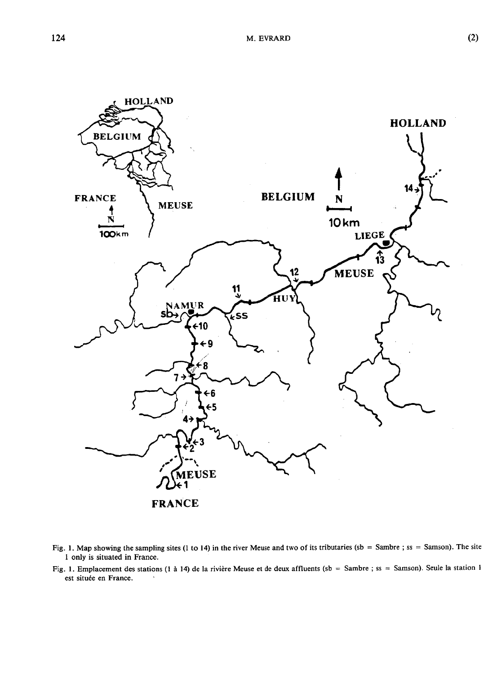

- **Fig. 1. Map showing the sampling sites (1 to 14) in the river Meuse and two of its tributaries (sb = Sambre ; ss = Samson). The site 1 only is situated in France.**
- **Fig. 1. Emplacement des stations (1 à 14) de la rivière Meuse et de deux affluents (sb = Sambre ; ss = Samson). Seule la station 1 est située en France.**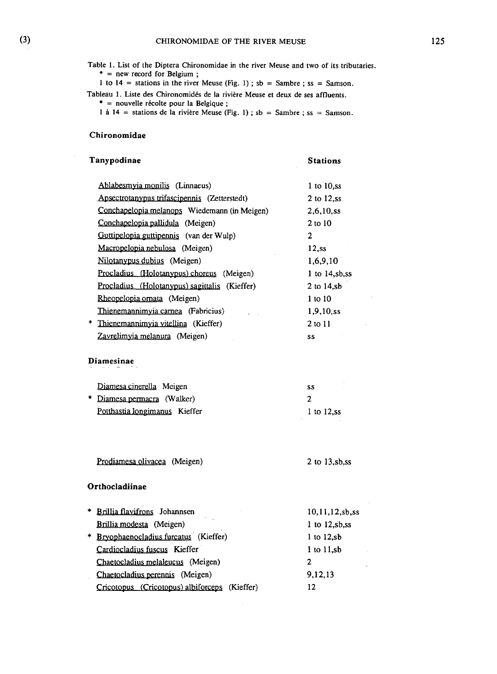**Table 1. List of the Díptera Chironomidae in the river Meuse and two of its tributaries.** 

 $*$  = new record for Belgium;

**1** to **14 =** stations in the river Meuse (Fig. **1)** ; sb = Sambre ; ss = Samson.

Tableau **1.** Liste des Chironomidés de la rivière Meuse et deux de ses affluents. \* = nouvelle récolte pour la Belgique ;<br>1 à 14 = stations de la rivière Meuse (Fig. 1) ; sb = Sambre ; ss = Samson.

| Tanypodinae                                      | Stations           |
|--------------------------------------------------|--------------------|
| Ablabesmyia monilis (Linnaeus)                   | 1 to $10$ , ss     |
| Apsectrotanypus trifascipennis (Zetterstedt)     | 2 to 12,ss         |
| Conchapelopia melanops Wiedemann (in Meigen)     | $2,6,10$ , ss      |
| Conchapelopia pallidula (Meigen)                 | 2 to 10            |
| Guttipelopia guttipennis (van der Wulp)          | 2                  |
| Macropelopia nebulosa (Meigen)                   | 12,ss              |
| Nilotanypus dubius (Meigen)                      | 1,6,9,10           |
| Procladius (Holotanypus) choreus (Meigen)        | 1 to $14, sb, ss$  |
| Procladius (Holotanypus) sagittalis (Kieffer)    | 2 to 14,sb         |
| Rheopelopia ornata (Meigen)                      | $1$ to $10$        |
| Thienemannimyia carnea (Fabricius)               | $1,9,10$ , ss      |
| * Thienemannimyia vitellina (Kieffer)            | 2 to 11            |
| Zavrelimyia melanura (Meigen)                    | SS                 |
| <b>Diamesinae</b>                                |                    |
| Diamesa cinerella Meigen                         | SS.                |
| * Diamesa permacra (Walker)                      | $\mathbf{2}$       |
| Potthastia longimanus Kieffer                    | 1 to $12$ , ss     |
|                                                  |                    |
| Prodiamesa olivacea (Meigen)                     | 2 to 13,sb,ss      |
| Orthocladiinae                                   |                    |
| * Brillia flavifrons Johannsen                   | 10, 11, 12, sb, ss |
| Brillia modesta (Meigen)                         | $1$ to $12,$ sb,ss |
| * Bryophaenocladius furcatus (Kieffer)           | $1$ to $12$ , sb   |
| Cardiocladius fuscus Kieffer                     | $1$ to $11$ ,sb    |
| Chaetocladius melaleucus (Meigen)                | 2                  |
| Chaetocladius perennis (Meigen)                  | 9,12,13            |
| Cricotopus (Cricotopus) albiforceps<br>(Kieffer) | 12                 |

 $\sim 10$ 

 $\lambda$ 

 $\mathcal{L}$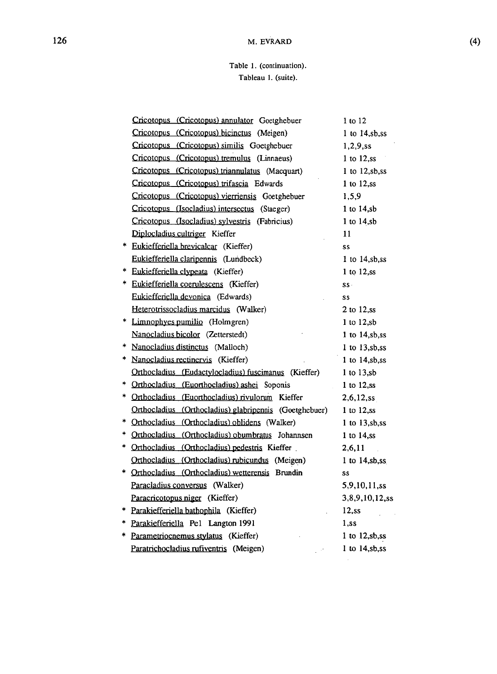# **Table 1. (continuation). Tableau 1. (suite).**

|    | Cricotopus (Cricotopus) annulator Goetghebuer          | $1$ to $12$          |
|----|--------------------------------------------------------|----------------------|
|    | Cricotopus (Cricotopus) bicinctus (Meigen)             | 1 to 14,sb,ss        |
|    | Cricotopus (Cricotopus) similis Goetghebuer            | 1,2,9,ss             |
|    | Cricotopus (Cricotopus) tremulus (Linnaeus)            | 1 to $12$ , ss       |
|    | Cricotopus (Cricotopus) triannulatus (Macquart)        | $1$ to $12, sb, ss$  |
|    | Cricotopus (Cricotopus) trifascia Edwards              | $1$ to $12$ , ss     |
|    | Cricotopus (Cricotopus) vierriensis Goetghebuer        | 1,5,9                |
|    | Cricotopus (Isocladius) intersectus (Staeger)          | 1 to $14$ , sb       |
|    | Cricotopus (Isocladius) sylvestris (Fabricius)         | $1$ to $14, sb$      |
|    | Diplocladius cultriger Kieffer                         | 11                   |
| *  | Eukiefferiella brevicalcar (Kieffer)                   | SS                   |
|    | Eukiefferiella claripennis (Lundbeck)                  | 1 to $14,$ sb,ss     |
| *  | Eukiefferiella clypeata (Kieffer)                      | 1 to 12,ss           |
| ∗. | Eukiefferiella coerulescens (Kieffer)                  | SS.                  |
|    | Eukiefferiella devonica (Edwards)                      | SS.                  |
|    | Heterotrissocladius marcidus (Walker)                  | 2 to 12,ss           |
|    | * Limnophyes pumilio (Holmgren)                        | $1$ to $12$ , sb     |
|    | Nanocladius bicolor (Zetterstedt)                      | $1$ to $14$ , sb, ss |
| *. | Nanocladius distinctus (Malloch)                       | $1$ to $13,$ sb,ss   |
|    | * Nanocladius rectinervis (Kieffer)                    | 1 to $14, sb, ss$    |
|    | Orthocladius (Eudactylocladius) fuscimanus (Kieffer)   | $1$ to $13$ , sb     |
| *  | Orthocladius (Euorthocladius) ashei Soponis            | $1$ to $12$ , ss     |
| *  | Orthocladius (Euorthocladius) rivulorum Kieffer        | 2,6,12,ss            |
|    | Orthocladius (Orthocladius) glabripennis (Goetghebuer) | $1$ to $12$ , ss     |
| *  | Orthocladius (Orthocladius) oblidens (Walker)          | 1 to 13,sb,ss        |
|    | * Orthocladius (Orthocladius) obumbratus Johannsen     | 1 to $14$ , ss       |
|    | * Orthocladius (Orthocladius) pedestris Kieffer        | 2,6,11               |
|    | Orthocladius (Orthocladius) rubicundus (Meigen)        | $1$ to $14,$ sb,ss   |
|    | * Orthocladius (Orthocladius) wetterensis Brundin      | SS                   |
|    | Paracladius conversus (Walker)                         | 5,9,10,11,ss         |
|    | Paracricotopus niger (Kieffer)                         | 3,8,9,10,12,ss       |
|    | * Parakiefferiella bathophila (Kieffer)                | $12$ , ss            |
|    | * Parakiefferiella Pel Langton 1991                    | $1$ ,ss              |
|    | * Parametriocnemus stylatus (Kieffer)                  | $1$ to $12,$ sb,ss   |
|    | Paratrichocladius rufiventris (Meigen)                 | 1 to 14,sb,ss        |
|    |                                                        |                      |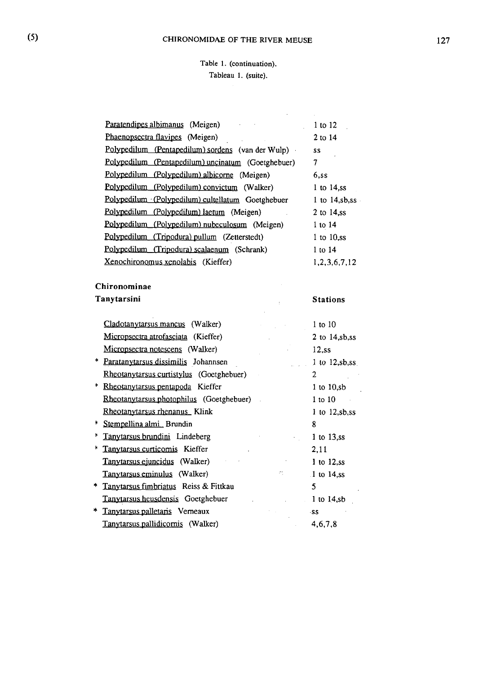# **Table 1. (continuation). Tableau 1. (suite).**

 $\sim 400$  km s  $^{-1}$  .

|    | Paratendipes albimanus (Meigen)                    | 1 to 12             |
|----|----------------------------------------------------|---------------------|
|    | Phaenopsectra flavipes (Meigen)                    | 2 to 14             |
|    | Polypedilum (Pentapedilum) sordens (van der Wulp)  | SS                  |
|    | Polypedilum (Pentapedilum) uncinatum (Goetghebuer) | 7                   |
|    | Polypedilum (Polypedilum) albicorne (Meigen)       | 6,ss                |
|    | Polypedilum (Polypedilum) convictum (Walker)       | 1 to $14$ , ss      |
|    | Polypedilum (Polypedilum) cultellatum Goetghebuer  | 1 to $14,$ sb,ss    |
|    | Polypedilum (Polypedilum) laetum (Meigen)          | 2 to 14,ss          |
|    | Polypedilum (Polypedilum) nubeculosum (Meigen)     | 1 to 14             |
|    | Polypedilum (Tripodura) pullum (Zetterstedt)       | $1$ to $10$ , ss    |
|    | Polypedilum (Tripodura) scalaenum (Schrank)        | 1 to 14             |
|    | Xenochironomus xenolabis (Kieffer)                 | 1,2,3,6,7,12        |
|    |                                                    |                     |
|    | Chironominae                                       |                     |
|    | Tanytarsini                                        | <b>Stations</b>     |
|    |                                                    |                     |
|    | Cladotanytarsus mancus (Walker)                    | $1$ to $10$         |
|    | Micropsectra atrofasciata (Kieffer)                | $2$ to $14,$ sb,ss  |
|    | Micropsectra notescens (Walker)                    | $12$ ,ss            |
|    | * Paratanytarsus dissimilis Johannsen              | 1 to $12,$ sb,ss    |
|    | Rheotanytarsus curtistylus (Goetghebuer)           | 2                   |
| ŧ  | Rheotanytarsus pentapoda Kieffer                   | $1$ to $10,$ sb     |
|    | Rheotanytarsus photophilus (Goetghebuer)<br>$\sim$ | $1$ to $10$         |
|    | Rheotanytarsus rhenanus_Klink                      | $1$ to $12, sb, ss$ |
|    | * Stempellina almi_Brundin                         | 8                   |
| ķ. | Tanytarsus brundini Lindeberg                      | $1$ to $13$ , ss    |
|    | * Tanytarsus curticomis Kieffer                    | 2,11                |
|    | Tanytarsus ejuncidus (Walker)                      | $1$ to $12$ , ss    |
|    | 75<br>Tanytarsus eminulus (Walker)                 | $1$ to 14,ss        |
|    | * Tanytarsus fimbriatus Reiss & Fittkau            | 5                   |
|    | Tanytarsus heusdensis Goetghebuer                  | 1 to $14, sb$       |
| *  | Tanytarsus palletaris Verneaux                     | -SS                 |
|    | Tanytarsus pallidicornis (Walker)                  | 4,6,7,8             |
|    |                                                    |                     |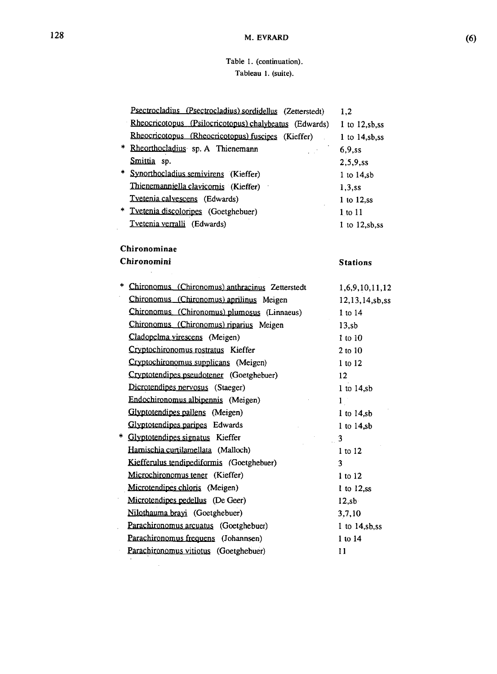# **Table 1. (continuation). Tableau 1. (suite).**

| Psectrocladius (Psectrocladius) sordidellus (Zetterstedt) | 1,2                |
|-----------------------------------------------------------|--------------------|
| Rheocricotopus (Psilocricotopus) chalybeatus (Edwards)    | $1$ to $12,$ sb,ss |
| Rheocricotopus (Rheocricotopus) fuscipes (Kieffer)        | 1 to $14$ , sb, ss |
| * Rheorthocladius sp. A Thienemann                        | 6,9,ss             |
| Smittia sp.                                               | 2,5,9,ss           |
| * Synorthocladius semivirens (Kieffer)                    | $1$ to $14$ , sb   |
| Thienemanniella clavicornis (Kieffer)                     | $1,3$ ss           |
| Tvetenia calvescens (Edwards)                             | $1$ to $12$ , ss   |
| * Tvetenia discoloripes (Goetghebuer)                     | $1$ to $11$        |
| Tvetenia verralli (Edwards)                               | 1 to 12,sb,ss      |
| Chironominae                                              |                    |
| Chironomini                                               | <b>Stations</b>    |
| * Chironomus (Chironomus) anthracinus Zetterstedt         | 1,6,9,10,11,12     |
| Chironomus (Chironomus) aprilinus Meigen                  | 12,13,14,sb,ss     |
| Chironomus (Chironomus) plumosus (Linnaeus)               | 1 to 14            |
| Chironomus (Chironomus) riparius Meigen                   | 13, sb             |
| Cladopelma virescens (Meigen)                             | 1 to 10            |
| Cryptochironomus rostratus Kieffer                        | $2$ to $10$        |
| Cryptochironomus supplicans (Meigen)                      | 1 to 12            |
| Cryptotendipes pseudotener (Goetghebuer)                  | 12 <sup>2</sup>    |
| Dicrotendipes nervosus (Staeger)                          | $1$ to $14$ , sb   |
| Endochironomus albipennis (Meigen)                        | 1 <sup>1</sup>     |
| Glyptotendipes pallens (Meigen)                           | $1$ to $14, sb$    |
| Glyptotendipes paripes Edwards                            | $1$ to $14, sb$    |
| * Glyptotendipes signatus Kieffer                         | 3                  |
| Harnischia curtilamellata (Malloch)                       | 1 to 12            |
| Kiefferulus tendipediformis (Goetghebuer)                 | 3                  |
| Microchironomus tener (Kieffer)                           | $1$ to $12$        |
| Microtendipes chloris (Meigen)                            | $1$ to $12$ , ss   |
| Microtendipes pedellus (De Geer)                          | $12$ ,sb           |
| Nilothauma brayi (Goetghebuer)                            | 3,7,10             |
| Parachironomus arcuatus (Goetghebuer)                     | 1 to $14, sb, ss$  |
| Parachironomus frequens (Johannsen)                       | 1 to 14            |
| Parachironomus vitiotus (Goetghebuer)                     | 11                 |